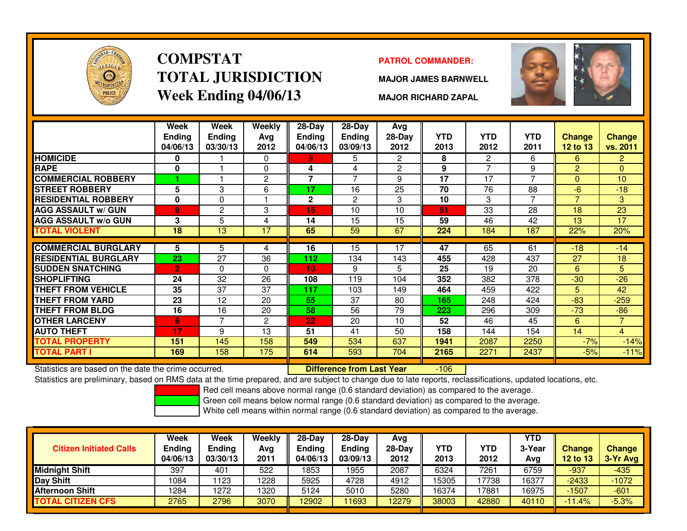

# **COMPSTATTOTAL JURISDICTIONWeek Ending 04/06/13**

### **PATROL COMMANDER:**

**MAJOR JAMES BARNWELL**



**MAJOR RICHARD ZAPAL**

-106

|                             | Week<br><b>Ending</b><br>04/06/13 | <b>Week</b><br><b>Ending</b><br>03/30/13 | Weekly<br>Avg<br>2012 | $28$ -Day<br><b>Ending</b><br>04/06/13 | 28-Day<br>Ending<br>03/09/13 | Avg<br>$28-Day$<br>2012 | <b>YTD</b><br>2013 | <b>YTD</b><br>2012 | <b>YTD</b><br>2011 | Change<br><b>12 to 13</b> | <b>Change</b><br>vs. 2011 |
|-----------------------------|-----------------------------------|------------------------------------------|-----------------------|----------------------------------------|------------------------------|-------------------------|--------------------|--------------------|--------------------|---------------------------|---------------------------|
| <b>HOMICIDE</b>             | 0                                 |                                          | 0                     | 5.                                     | 5                            | $\overline{2}$          | 8                  | 2                  | 6                  | 6                         | $\overline{2}$            |
| <b>RAPE</b>                 | 0                                 |                                          | $\mathbf{0}$          | 4                                      | 4                            | 2                       | 9                  | ⇁                  | 9                  | $\overline{2}$            | $\Omega$                  |
| <b>COMMERCIAL ROBBERY</b>   |                                   |                                          | $\overline{c}$        | 7                                      | 7                            | 9                       | 17                 | 17                 | $\overline{ }$     | $\Omega$                  | 10                        |
| <b>STREET ROBBERY</b>       | 5                                 | 3                                        | 6                     | 17                                     | 16                           | 25                      | 70                 | 76                 | 88                 | $-6$                      | $-18$                     |
| <b>RESIDENTIAL ROBBERY</b>  | $\mathbf 0$                       | $\Omega$                                 |                       | $\mathbf{2}$                           | $\overline{c}$               | 3                       | 10                 | 3                  |                    | $\overline{7}$            | 3                         |
| <b>AGG ASSAULT w/ GUN</b>   | $\overline{9}$                    | $\overline{c}$                           | 3                     | 16                                     | 10                           | 10                      | 51                 | 33                 | 28                 | 18                        | 23                        |
| <b>AGG ASSAULT w/o GUN</b>  | 3                                 | 5                                        | 4                     | 14                                     | 15                           | 15                      | 59                 | 46                 | 42                 | 13                        | 17                        |
| <b>TOTAL VIOLENT</b>        | 18                                | 13                                       | 17                    | 65                                     | 59                           | 67                      | 224                | 184                | 187                | 22%                       | 20%                       |
|                             |                                   |                                          |                       |                                        |                              |                         |                    |                    |                    |                           |                           |
| <b>COMMERCIAL BURGLARY</b>  | 5                                 | 5.                                       | 4                     | 16                                     | 15                           | 17                      | 47                 | 65                 | 61                 | $-18$                     | $-14$                     |
| <b>RESIDENTIAL BURGLARY</b> | 23                                | 27                                       | 36                    | 112                                    | 134                          | 143                     | 455                | 428                | 437                | 27                        | 18                        |
| <b>SUDDEN SNATCHING</b>     | $\overline{2}$                    | $\Omega$                                 | $\Omega$              | 10 <sub>1</sub>                        | 9                            | 5                       | 25                 | 19                 | 20                 | 6                         | 5                         |
| <b>SHOPLIFTING</b>          | 24                                | 32                                       | 26                    | 108                                    | 119                          | 104                     | 352                | 382                | 378                | $-30$                     | $-26$                     |
| <b>THEFT FROM VEHICLE</b>   | 35                                | 37                                       | 37                    | 117                                    | 103                          | 149                     | 464                | 459                | 422                | 5                         | 42                        |
| THEFT FROM YARD             | 23                                | 12                                       | 20                    | 55                                     | 37                           | 80                      | 165                | 248                | 424                | $-83$                     | $-259$                    |
| <b>THEFT FROM BLDG</b>      | 16                                | 16                                       | 20                    | 58                                     | 56                           | 79                      | 223                | 296                | 309                | $-73$                     | $-86$                     |
| <b>OTHER LARCENY</b>        | 6                                 | $\overline{\phantom{a}}$                 | $\overline{c}$        | 22                                     | 20                           | 10                      | 52                 | 46                 | 45                 | 6                         | $\overline{7}$            |
| <b>AUTO THEFT</b>           | 17                                | 9                                        | 13                    | 51                                     | 41                           | 50                      | 158                | 144                | 154                | 14                        | $\overline{4}$            |
| <b>TOTAL PROPERTY</b>       | 151                               | 145                                      | 158                   | 549                                    | 534                          | 637                     | 1941               | 2087               | 2250               | $-7%$                     | $-14%$                    |
| <b>TOTAL PART I</b>         | 169                               | 158                                      | 175                   | 614                                    | 593                          | 704                     | 2165               | 2271               | 2437               | $-5%$                     | $-11%$                    |

Statistics are based on the date the crime occurred. **Difference from Last Year** 

Statistics are preliminary, based on RMS data at the time prepared, and are subject to change due to late reports, reclassifications, updated locations, etc.

Red cell means above normal range (0.6 standard deviation) as compared to the average.

Green cell means below normal range (0.6 standard deviation) as compared to the average.

| <b>Citizen Initiated Calls</b> | Week<br><b>Ending</b><br>04/06/13 | <b>Week</b><br><b>Ending</b><br>03/30/13 | Weekly<br>Avg<br>2011 | $28-Dav$<br>Endina<br>04/06/13 | $28-Day$<br><b>Ending</b><br>03/09/13 | Avg<br>$28-Dav$<br>2012 | YTD<br>2013 | YTD<br>2012 | <b>YTD</b><br>3-Year<br>Ava | <b>Change</b><br><b>12 to 13</b> | <b>Change</b><br>3-Yr Avg |
|--------------------------------|-----------------------------------|------------------------------------------|-----------------------|--------------------------------|---------------------------------------|-------------------------|-------------|-------------|-----------------------------|----------------------------------|---------------------------|
| <b>Midnight Shift</b>          | 397                               | 401                                      | 522                   | 1853                           | 1955                                  | 2087                    | 6324        | 7261        | 6759                        | $-937$                           | -435                      |
| Day Shift                      | 1084                              | 123                                      | 1228                  | 5925                           | 4728                                  | 4912                    | 15305       | 7738        | 16377                       | $-2433$                          | $-1072$                   |
| <b>Afternoon Shift</b>         | 1284                              | 1272                                     | 1320                  | 5124                           | 5010                                  | 5280                    | 16374       | 7881        | 16975                       | $-1507$                          | $-601$                    |
| <b>TOTAL CITIZEN CFS</b>       | 2765                              | 2796                                     | 3070                  | 12902                          | 11693                                 | 2279                    | 38003       | 42880       | 40110                       | $-11.4%$                         | $-5.3%$                   |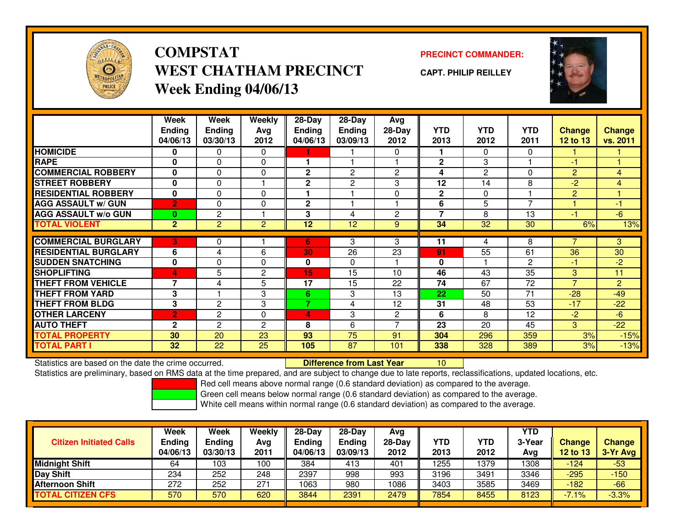

**COMPSTATWEST CHATHAM PRECINCTWeek Ending 04/06/13**

**PRECINCT COMMANDER:**

**CAPT. PHILIP REILLEY**



|                             | Week            | Week           | Weekly         | 28-Day       | 28-Day         | Avg            |              |                |              |                |                |
|-----------------------------|-----------------|----------------|----------------|--------------|----------------|----------------|--------------|----------------|--------------|----------------|----------------|
|                             | <b>Ending</b>   | Ending         | Avg            | Ending       | <b>Ending</b>  | 28-Day         | <b>YTD</b>   | <b>YTD</b>     | <b>YTD</b>   | <b>Change</b>  | <b>Change</b>  |
|                             | 04/06/13        | 03/30/13       | 2012           | 04/06/13     | 03/09/13       | 2012           | 2013         | 2012           | 2011         | 12 to 13       | vs. 2011       |
| <b>HOMICIDE</b>             | 0               | 0              | $\Omega$       |              |                | 0              |              | $\Omega$       | $\Omega$     |                |                |
| <b>RAPE</b>                 | 0               | 0              | 0              |              |                |                | $\mathbf 2$  | 3              |              | $-1$           |                |
| <b>COMMERCIAL ROBBERY</b>   | $\mathbf{0}$    | $\Omega$       | 0              | $\mathbf{2}$ | $\overline{c}$ | $\overline{c}$ | 4            | $\overline{2}$ | $\Omega$     | $\overline{2}$ | $\overline{4}$ |
| <b>STREET ROBBERY</b>       | 0               | 0              |                | 2            | $\mathbf{2}$   | 3              | 12           | 14             | 8            | $-2$           | $\overline{4}$ |
| <b>RESIDENTIAL ROBBERY</b>  | $\bf{0}$        | 0              | $\Omega$       |              |                | $\Omega$       | $\mathbf{2}$ | $\Omega$       |              | 2              |                |
| <b>AGG ASSAULT w/ GUN</b>   | $\overline{2}$  | $\Omega$       | 0              | $\mathbf 2$  |                |                | 6            | 5              | 7            |                | $-1$           |
| <b>AGG ASSAULT w/o GUN</b>  | $\bf{0}$        | 2              |                | 3            | 4              | $\overline{c}$ | 7            | 8              | 13           | -1             | $-6$           |
| <b>TOTAL VIOLENT</b>        | 2 <sup>1</sup>  | $\overline{2}$ | $\overline{2}$ | 12           | 12             | 9              | 34           | 32             | 30           | 6%             | 13%            |
|                             |                 |                |                |              |                |                |              |                |              |                |                |
| <b>COMMERCIAL BURGLARY</b>  | 3               | 0              |                | 6            | 3              | 3              | 11           | 4              | 8            | 7              | 3              |
| <b>RESIDENTIAL BURGLARY</b> | 6               | 4              | 6              | 30           | 26             | 23             | 91           | 55             | 61           | 36             | 30             |
| <b>SUDDEN SNATCHING</b>     | $\mathbf{0}$    | 0              | 0              | $\mathbf{0}$ | $\mathbf{0}$   |                | $\bf{0}$     |                | $\mathbf{2}$ | $-1$           | $-2$           |
| <b>SHOPLIFTING</b>          | 4               | 5              | 2              | 15           | 15             | 10             | 46           | 43             | 35           | 3              | 11             |
| THEFT FROM VEHICLE          | $\overline{7}$  | 4              | 5              | 17           | 15             | 22             | 74           | 67             | 72           | $\overline{7}$ | $\overline{2}$ |
| <b>THEFT FROM YARD</b>      | 3               |                | 3              | 6            | 3              | 13             | 22           | 50             | 71           | $-28$          | $-49$          |
| <b>THEFT FROM BLDG</b>      | 3               | 2              | 3              | 7            | 4              | 12             | 31           | 48             | 53           | $-17$          | $-22$          |
| <b>OTHER LARCENY</b>        | $\overline{2}$  | 2              | 0              | 4            | 3              | $\overline{c}$ | 6            | 8              | 12           | $-2$           | $-6$           |
| <b>AUTO THEFT</b>           | $\mathbf{2}$    | $\overline{c}$ | $\overline{c}$ | 8            | 6              |                | 23           | 20             | 45           | 3              | $-22$          |
| <b>TOTAL PROPERTY</b>       | 30              | 20             | 23             | 93           | 75             | 91             | 304          | 296            | 359          | 3%             | $-15%$         |
| <b>TOTAL PART I</b>         | 32 <sub>2</sub> | 22             | 25             | 105          | 87             | 101            | 338          | 328            | 389          | 3%             | $-13%$         |

Statistics are based on the date the crime occurred. **Difference from Last Year** 

Statistics are preliminary, based on RMS data at the time prepared, and are subject to change due to late reports, reclassifications, updated locations, etc.

<sup>10</sup>

Red cell means above normal range (0.6 standard deviation) as compared to the average.

Green cell means below normal range (0.6 standard deviation) as compared to the average.

| <b>Citizen Initiated Calls</b> | Week<br>Ending<br>04/06/13 | <b>Week</b><br>Ending<br>03/30/13 | Weekly<br>Avg<br>2011 | $28-Day$<br>Ending<br>04/06/13 | $28-Dav$<br><b>Ending</b><br>03/09/13 | Avg<br>28-Day<br>2012 | YTD<br>2013 | YTD<br>2012 | <b>YTD</b><br>3-Year<br>Avg | <b>Change</b><br><b>12 to 13</b> | <b>Change</b><br>3-Yr Avg |
|--------------------------------|----------------------------|-----------------------------------|-----------------------|--------------------------------|---------------------------------------|-----------------------|-------------|-------------|-----------------------------|----------------------------------|---------------------------|
| <b>Midnight Shift</b>          | 64                         | 103                               | 100                   | 384                            | 413                                   | 401                   | 1255        | 1379        | 1308                        | $-124$                           | $-53$                     |
| Day Shift                      | 234                        | 252                               | 248                   | 2397                           | 998                                   | 993                   | 3196        | 3491        | 3346                        | $-295$                           | $-150$                    |
| <b>Afternoon Shift</b>         | 272                        | 252                               | 271                   | 1063                           | 980                                   | 1086                  | 3403        | 3585        | 3469                        | $-182$                           | $-66$                     |
| <b>TOTAL CITIZEN CFS</b>       | 570                        | 570                               | 620                   | 3844                           | 2391                                  | 2479                  | 7854        | 8455        | 8123                        | $-7.1%$                          | $-3.3%$                   |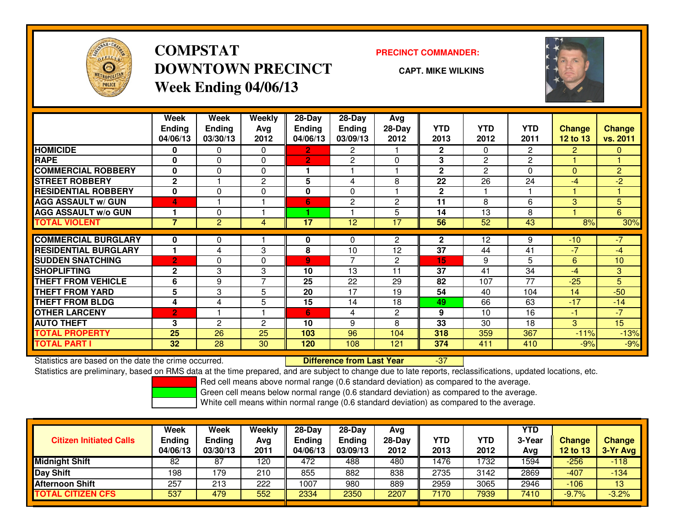

## **COMPSTATDOWNTOWN PRECINCTWeek Ending 04/06/13**

### **PRECINCT COMMANDER:**

**CAPT. MIKE WILKINS**

-37



|                             | Week           | Week           | <b>Weekly</b>  | $28-Day$       | $28-Day$       | Avg            |              |                |            |                |                |
|-----------------------------|----------------|----------------|----------------|----------------|----------------|----------------|--------------|----------------|------------|----------------|----------------|
|                             | <b>Ending</b>  | <b>Ending</b>  | Avg            | <b>Ending</b>  | <b>Ending</b>  | $28-Day$       | <b>YTD</b>   | <b>YTD</b>     | <b>YTD</b> | <b>Change</b>  | <b>Change</b>  |
|                             | 04/06/13       | 03/30/13       | 2012           | 04/06/13       | 03/09/13       | 2012           | 2013         | 2012           | 2011       | 12 to $13$     | vs. 2011       |
| <b>HOMICIDE</b>             | 0              | 0              | $\Omega$       | $\mathbf{2}$   | $\overline{2}$ |                | $\mathbf{2}$ | 0              | 2          | $\overline{2}$ | $\mathbf{0}$   |
| <b>RAPE</b>                 | 0              | 0              | $\mathbf 0$    | $\overline{2}$ | $\overline{2}$ | $\Omega$       | 3            | $\overline{2}$ | 2          |                |                |
| <b>COMMERCIAL ROBBERY</b>   | $\bf{0}$       | 0              | $\Omega$       |                |                |                | $\mathbf{2}$ | $\overline{c}$ | 0          | $\Omega$       | $\overline{2}$ |
| <b>STREET ROBBERY</b>       | $\mathbf{2}$   |                | 2              | 5              | 4              | 8              | 22           | 26             | 24         | -4             | $-2$           |
| <b>RESIDENTIAL ROBBERY</b>  | 0              | 0              | $\mathbf 0$    | 0              | 0              |                | $\mathbf{2}$ |                |            |                |                |
| <b>AGG ASSAULT w/ GUN</b>   | 4              |                |                | 6              | $\overline{2}$ | $\overline{2}$ | 11           | 8              | 6          | 3              | 5 <sup>1</sup> |
| <b>AGG ASSAULT w/o GUN</b>  |                | 0              |                |                |                | 5              | 14           | 13             | 8          |                | 6              |
| <b>TOTAL VIOLENT</b>        | 7              | $\overline{2}$ | 4              | 17             | 12             | 17             | 56           | 52             | 43         | 8%             | 30%            |
| <b>COMMERCIAL BURGLARY</b>  | 0              | 0              |                | 0              | 0              | $\overline{2}$ | $\mathbf{2}$ | 12             | 9          | $-10$          | $-7$           |
| <b>RESIDENTIAL BURGLARY</b> |                | 4              | 3              | 8              | 10             | 12             | 37           | 44             | 41         | $-7$           | $-4$           |
|                             |                |                |                |                | 7              |                |              |                |            |                |                |
| <b>SUDDEN SNATCHING</b>     | $\overline{2}$ | 0              | $\Omega$       | $\overline{9}$ |                | $\overline{c}$ | 15           | 9              | 5          | 6              | 10             |
| <b>SHOPLIFTING</b>          | $\mathbf{2}$   | 3              | 3              | 10             | 13             | 11             | 37           | 41             | 34         | -4             | 3              |
| <b>THEFT FROM VEHICLE</b>   | 6              | 9              | $\overline{7}$ | 25             | 22             | 29             | 82           | 107            | 77         | $-25$          | 5              |
| <b>THEFT FROM YARD</b>      | 5              | 3              | 5              | 20             | 17             | 19             | 54           | 40             | 104        | 14             | $-50$          |
| <b>THEFT FROM BLDG</b>      | 4              | 4              | 5              | 15             | 14             | 18             | 49           | 66             | 63         | $-17$          | $-14$          |
| <b>OTHER LARCENY</b>        | $\overline{2}$ |                |                | 6              | 4              | $\overline{2}$ | 9            | 10             | 16         | -1             | $-7$           |
| <b>AUTO THEFT</b>           | 3              | $\overline{2}$ | $\overline{2}$ | 10             | 9              | 8              | 33           | 30             | 18         | 3              | 15             |
| <b>TOTAL PROPERTY</b>       | 25             | 26             | 25             | 103            | 96             | 104            | 318          | 359            | 367        | $-11%$         | $-13%$         |
| <b>TOTAL PART I</b>         | 32             | 28             | 30             | 120            | 108            | 121            | 374          | 411            | 410        | $-9%$          | $-9%$          |

Statistics are based on the date the crime occurred. **Difference from Last Year** 

Statistics are preliminary, based on RMS data at the time prepared, and are subject to change due to late reports, reclassifications, updated locations, etc.

Red cell means above normal range (0.6 standard deviation) as compared to the average.

Green cell means below normal range (0.6 standard deviation) as compared to the average.

|                                | <b>Week</b>               | Week                      | Weekly      | $28-Dav$                  | $28-Dav$                  | Avg              |                    |             | <b>YTD</b> |                                  |                             |
|--------------------------------|---------------------------|---------------------------|-------------|---------------------------|---------------------------|------------------|--------------------|-------------|------------|----------------------------------|-----------------------------|
| <b>Citizen Initiated Calls</b> | <b>Ending</b><br>04/06/13 | <b>Ending</b><br>03/30/13 | Avg<br>2011 | <b>Ending</b><br>04/06/13 | <b>Ending</b><br>03/09/13 | $28-Dav$<br>2012 | <b>YTD</b><br>2013 | YTD<br>2012 | 3-Year     | <b>Change</b><br><b>12 to 13</b> | <b>Change</b><br>$3-Yr$ Avg |
|                                |                           |                           |             |                           |                           |                  |                    |             | Avg        |                                  |                             |
| <b>Midnight Shift</b>          | 82                        | 87                        | 120         | 472                       | 488                       | 480              | 1476               | 1732        | 1594       | $-256$                           | $-118$                      |
| <b>Day Shift</b>               | 198                       | 179                       | 210         | 855                       | 882                       | 838              | 2735               | 3142        | 2869       | -407                             | $-134$                      |
| <b>Afternoon Shift</b>         | 257                       | 213                       | 222         | 1007                      | 980                       | 889              | 2959               | 3065        | 2946       | $-106$                           | 13                          |
| <b>TOTAL CITIZEN CFS</b>       | 537                       | 479                       | 552         | 2334                      | 2350                      | 2207             | 7170               | 7939        | 7410       | $-9.7%$                          | $-3.2%$                     |
|                                |                           |                           |             |                           |                           |                  |                    |             |            |                                  |                             |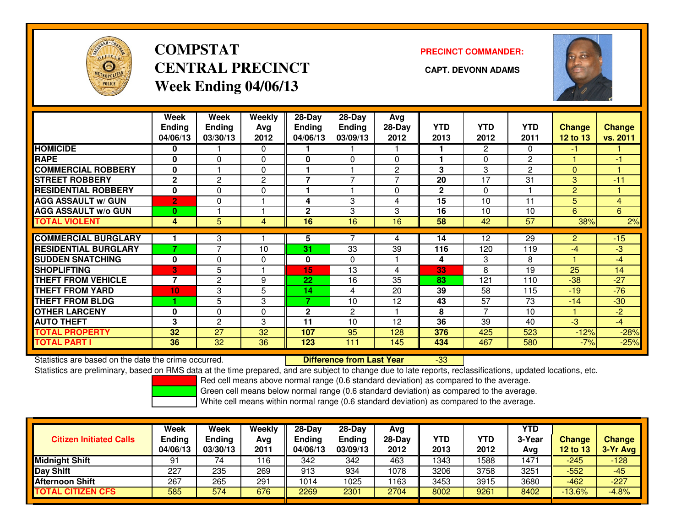

# **COMPSTATCENTRAL PRECINCT CAPT. DEVONN ADAMSWeek Ending 04/06/13**

**PRECINCT COMMANDER:**



|                             | Week<br><b>Ending</b><br>04/06/13 | Week<br><b>Ending</b><br>03/30/13 | <b>Weekly</b><br>Ava<br>2012 | $28-Day$<br>Endina<br>04/06/13 | $28-Day$<br><b>Endina</b><br>03/09/13 | Avg<br>$28-Day$<br>2012 | <b>YTD</b><br>2013 | <b>YTD</b><br>2012 | <b>YTD</b><br>2011 | <b>Change</b><br><b>12 to 13</b> | Change<br>vs. 2011 |
|-----------------------------|-----------------------------------|-----------------------------------|------------------------------|--------------------------------|---------------------------------------|-------------------------|--------------------|--------------------|--------------------|----------------------------------|--------------------|
| <b>HOMICIDE</b>             | 0                                 |                                   | 0                            |                                |                                       |                         |                    | 2                  | 0                  | -1                               |                    |
| <b>RAPE</b>                 | $\bf{0}$                          | 0                                 | $\Omega$                     | 0                              | $\Omega$                              | $\Omega$                |                    | $\Omega$           | 2                  |                                  | -1                 |
| <b>COMMERCIAL ROBBERY</b>   | $\mathbf{0}$                      |                                   | $\Omega$                     |                                |                                       | 2                       | 3                  | 3                  | 2                  | $\Omega$                         |                    |
| <b>STREET ROBBERY</b>       | $\mathbf{2}$                      | $\overline{2}$                    | $\overline{c}$               | $\overline{\phantom{a}}$       | $\overline{\phantom{a}}$              | 7                       | 20                 | 17                 | 31                 | 3                                | $-11$              |
| <b>RESIDENTIAL ROBBERY</b>  | $\mathbf 0$                       | $\Omega$                          | 0                            |                                |                                       | $\Omega$                | $\mathbf{2}$       | $\Omega$           |                    | $\overline{2}$                   |                    |
| <b>AGG ASSAULT w/ GUN</b>   | $\overline{2}$                    | $\Omega$                          |                              | 4                              | 3                                     | 4                       | 15                 | 10                 | 11                 | 5                                | 4                  |
| <b>AGG ASSAULT w/o GUN</b>  | $\bf{0}$                          |                                   |                              | $\mathbf{2}$                   | 3                                     | 3                       | 16                 | 10                 | 10                 | 6                                | 6                  |
| <b>TOTAL VIOLENT</b>        | 4                                 | 5                                 | 4                            | 16                             | 16                                    | 16                      | 58                 | 42                 | 57                 | 38%                              | 2%                 |
| <b>COMMERCIAL BURGLARY</b>  |                                   | 3                                 |                              | 5                              |                                       | 4                       | 14                 | 12                 | 29                 | $\overline{2}$                   | $-15$              |
| <b>RESIDENTIAL BURGLARY</b> | ۰,                                | 7                                 | 10                           | 31                             | 33                                    | 39                      | 116                | 120                | 119                | $-4$                             | -3                 |
| <b>SUDDEN SNATCHING</b>     | $\mathbf{0}$                      | $\Omega$                          | $\Omega$                     | $\bf{0}$                       | $\Omega$                              |                         | 4                  | 3                  | 8                  |                                  | $-4$               |
| <b>SHOPLIFTING</b>          | 3                                 | 5                                 |                              | 15                             | 13                                    | 4                       | 33                 | 8                  | 19                 | 25                               | 14                 |
| <b>THEFT FROM VEHICLE</b>   | $\overline{7}$                    | $\overline{2}$                    | 9                            | 22                             | 16                                    | 35                      | 83                 | 121                | 110                | $-38$                            | $-27$              |
| <b>THEFT FROM YARD</b>      |                                   |                                   |                              |                                |                                       |                         |                    |                    |                    |                                  |                    |
|                             | 10                                | 3                                 | 5                            | 14<br>7                        | 4                                     | 20                      | 39                 | 58                 | 115                | $-19$                            | $-76$              |
| <b>THEFT FROM BLDG</b>      |                                   | 5                                 | 3                            |                                | 10                                    | 12                      | 43                 | 57                 | 73                 | $-14$                            | $-30$              |
| <b>OTHER LARCENY</b>        | 0                                 | $\Omega$                          | $\Omega$                     | $\mathbf{2}$                   | 2                                     |                         | 8                  | $\overline{7}$     | 10                 |                                  | $-2$               |
| <b>AUTO THEFT</b>           | 3                                 | 2                                 | 3                            | 11                             | 10                                    | 12                      | 36                 | 39                 | 40                 | $-3$                             | $-4$               |
| <b>TOTAL PROPERTY</b>       | 32                                | 27                                | 32                           | 107                            | 95                                    | 128                     | 376                | 425                | 523                | $-12%$                           | $-28%$             |
| <b>TOTAL PART I</b>         | 36                                | 32                                | 36                           | 123                            | 111                                   | 145                     | 434                | 467                | 580                | $-7%$                            | $-25%$             |

Statistics are based on the date the crime occurred. **Difference from Last Year** 

Statistics are based on the date the crime occurred. **Externee the Difference from Last Year Theoren 1937 Lifter**<br>Statistics are preliminary, based on RMS data at the time prepared, and are subject to change due to late re

Red cell means above normal range (0.6 standard deviation) as compared to the average.

Green cell means below normal range (0.6 standard deviation) as compared to the average.

| <b>Citizen Initiated Calls</b> | <b>Week</b><br><b>Ending</b><br>04/06/13 | Week<br>Ending<br>03/30/13 | Weekly<br>Avg<br>2011 | $28-Day$<br><b>Ending</b><br>04/06/13 | $28-Dav$<br>Ending<br>03/09/13 | Avg<br>$28-Day$<br>2012 | <b>YTD</b><br>2013 | YTD<br>2012 | <b>YTD</b><br>3-Year<br>Avg | Change<br>12 to 13 | <b>Change</b><br>3-Yr Avg |
|--------------------------------|------------------------------------------|----------------------------|-----------------------|---------------------------------------|--------------------------------|-------------------------|--------------------|-------------|-----------------------------|--------------------|---------------------------|
| <b>Midnight Shift</b>          | 91                                       | 74                         | 116                   | 342                                   | 342                            | 463                     | 1343               | 588         | 1471                        | $-245$             | $-128$                    |
| Day Shift                      | 227                                      | 235                        | 269                   | 913                                   | 934                            | 1078                    | 3206               | 3758        | 3251                        | $-552$             | $-45$                     |
| <b>Afternoon Shift</b>         | 267                                      | 265                        | 291                   | 1014                                  | 1025                           | 1163                    | 3453               | 3915        | 3680                        | $-462$             | $-227$                    |
| <b>TOTAL CITIZEN CFS</b>       | 585                                      | 574                        | 676                   | 2269                                  | 2301                           | 2704                    | 8002               | 9261        | 8402                        | $-13.6%$           | $-4.8%$                   |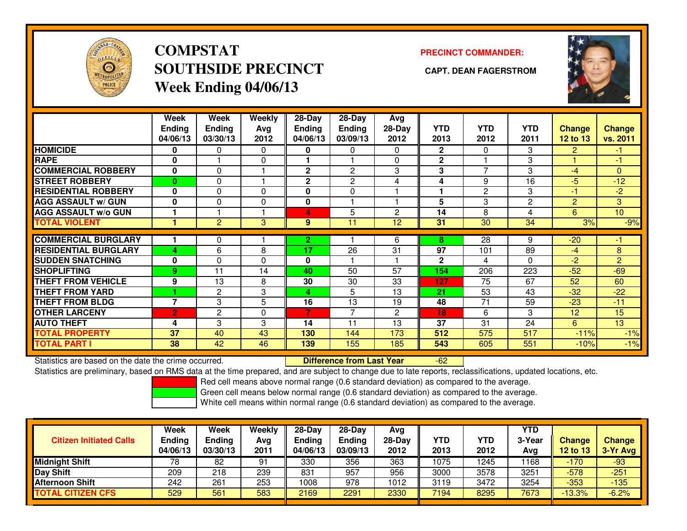

## **COMPSTATSOUTHSIDE PRECINCT CAPT. DEAN FAGERSTROMWeek Ending 04/06/13**

### **PRECINCT COMMANDER:**



|                             | Week<br><b>Ending</b><br>04/06/13 | Week<br><b>Ending</b><br>03/30/13 | Weekly<br>Avg<br>2012 | $28-Day$<br>Ending<br>04/06/13 | $28-Day$<br><b>Ending</b><br>03/09/13 | Avg<br>28-Day<br>2012 | <b>YTD</b><br>2013 | <b>YTD</b><br>2012       | <b>YTD</b><br>2011 | <b>Change</b><br><b>12 to 13</b> | <b>Change</b><br>vs. 2011 |
|-----------------------------|-----------------------------------|-----------------------------------|-----------------------|--------------------------------|---------------------------------------|-----------------------|--------------------|--------------------------|--------------------|----------------------------------|---------------------------|
| <b>HOMICIDE</b>             | 0                                 | 0                                 | $\Omega$              | 0                              | 0                                     | $\Omega$              | $\mathbf{2}$       | 0                        | 3                  | 2                                | $-1$                      |
| <b>RAPE</b>                 | $\Omega$                          |                                   | $\Omega$              |                                |                                       | $\Omega$              | $\mathbf{2}$       |                          | 3                  |                                  | -1                        |
| <b>COMMERCIAL ROBBERY</b>   | 0                                 | 0                                 |                       | $\mathbf 2$                    | 2                                     | 3                     | 3                  | $\overline{\phantom{a}}$ | 3                  | $-4$                             | $\mathbf{0}$              |
| <b>STREET ROBBERY</b>       | $\bf{0}$                          | $\mathbf{0}$                      |                       | $\mathbf{2}$                   | $\overline{2}$                        | 4                     | 4                  | 9                        | 16                 | -5                               | $-12$                     |
| <b>RESIDENTIAL ROBBERY</b>  | $\Omega$                          | 0                                 | $\Omega$              | 0                              | $\Omega$                              |                       |                    | $\overline{2}$           | 3                  | -1                               | $-2$                      |
| <b>AGG ASSAULT W/ GUN</b>   | $\bf{0}$                          | 0                                 | $\mathbf 0$           | 0                              |                                       |                       | 5                  | 3                        | 2                  | 2                                | 3                         |
| <b>AGG ASSAULT w/o GUN</b>  |                                   |                                   |                       | 4                              | 5                                     | $\overline{c}$        | 14                 | 8                        | 4                  | 6                                | 10                        |
| <b>TOTAL VIOLENT</b>        |                                   | $\overline{2}$                    | 3                     | 9                              | 11                                    | 12                    | 31                 | 30                       | 34                 | 3%                               | $-9%$                     |
| <b>COMMERCIAL BURGLARY</b>  |                                   | 0                                 |                       | $\overline{2}$                 |                                       | 6                     | 8                  | 28                       | 9                  | $-20$                            | $-1$                      |
| <b>RESIDENTIAL BURGLARY</b> | 4                                 | 6                                 | 8                     | 17                             | 26                                    | 31                    | 97                 | 101                      | 89                 | $-4$                             | 8                         |
| <b>SUDDEN SNATCHING</b>     | $\bf{0}$                          | 0                                 | $\Omega$              | 0                              |                                       |                       | $\mathbf{2}$       | 4                        | 0                  | -2                               | $\overline{2}$            |
| <b>SHOPLIFTING</b>          | 9                                 | 11                                | 14                    | 40                             | 50                                    | 57                    | 154                | 206                      | 223                | $-52$                            | $-69$                     |
| <b>THEFT FROM VEHICLE</b>   | 9                                 | 13                                | 8                     | 30                             | 30                                    | 33                    | 127                | 75                       | 67                 | 52                               | 60                        |
| <b>THEFT FROM YARD</b>      |                                   | $\mathbf{2}$                      | 3                     | 4                              | 5                                     | 13                    | 21                 | 53                       | 43                 | $-32$                            | $-22$                     |
| <b>THEFT FROM BLDG</b>      | $\overline{7}$                    | 3                                 | 5                     | 16                             | 13                                    | 19                    | 48                 | 71                       | 59                 | $-23$                            | $-11$                     |
| <b>OTHER LARCENY</b>        | $\overline{2}$                    | $\overline{c}$                    | $\Omega$              | 7                              | 7                                     | $\overline{2}$        | 18                 | 6                        | 3                  | 12                               | 15                        |
| <b>AUTO THEFT</b>           | 4                                 | 3                                 | 3                     | 14                             | 11                                    | 13                    | 37                 | 31                       | 24                 | 6                                | 13                        |
| <b>TOTAL PROPERTY</b>       | 37                                | 40                                | 43                    | 130                            | 144                                   | 173                   | 512                | 575                      | 517                | $-11%$                           | $-1%$                     |
| <b>TOTAL PART I</b>         | 38                                | 42                                | 46                    | 139                            | 155                                   | 185                   | 543                | 605                      | 551                | $-10%$                           | $-1%$                     |

Statistics are based on the date the crime occurred. **Difference from Last Year** 

-62

Statistics are preliminary, based on RMS data at the time prepared, and are subject to change due to late reports, reclassifications, updated locations, etc.

Red cell means above normal range (0.6 standard deviation) as compared to the average.

Green cell means below normal range (0.6 standard deviation) as compared to the average.

|                                | <b>Week</b>               | Week                      | Weekly      | $28-Day$                  | $28-Dav$                  | Avg              |             |             | <b>YTD</b> |                    |                           |
|--------------------------------|---------------------------|---------------------------|-------------|---------------------------|---------------------------|------------------|-------------|-------------|------------|--------------------|---------------------------|
| <b>Citizen Initiated Calls</b> | <b>Ending</b><br>04/06/13 | <b>Ending</b><br>03/30/13 | Avg<br>2011 | <b>Ending</b><br>04/06/13 | <b>Endina</b><br>03/09/13 | $28-Dav$<br>2012 | YTD<br>2013 | YTD<br>2012 | 3-Year     | Change<br>12 to 13 | <b>Change</b><br>3-Yr Avg |
|                                |                           |                           |             |                           |                           |                  |             |             | Avg        |                    |                           |
| <b>Midnight Shift</b>          | 78                        | 82                        | 91          | 330                       | 356                       | 363              | 1075        | 1245        | 1168       | $-170$             | $-93$                     |
| Day Shift                      | 209                       | 218                       | 239         | 831                       | 957                       | 956              | 3000        | 3578        | 3251       | $-578$             | $-251$                    |
| <b>Afternoon Shift</b>         | 242                       | 261                       | 253         | 1008                      | 978                       | 1012             | 3119        | 3472        | 3254       | $-353$             | $-135$                    |
| <b>TOTAL CITIZEN CFS</b>       | 529                       | 561                       | 583         | 2169                      | 2291                      | 2330             | 7194        | 8295        | 7673       | $-13.3%$           | $-6.2%$                   |
|                                |                           |                           |             |                           |                           |                  |             |             |            |                    |                           |